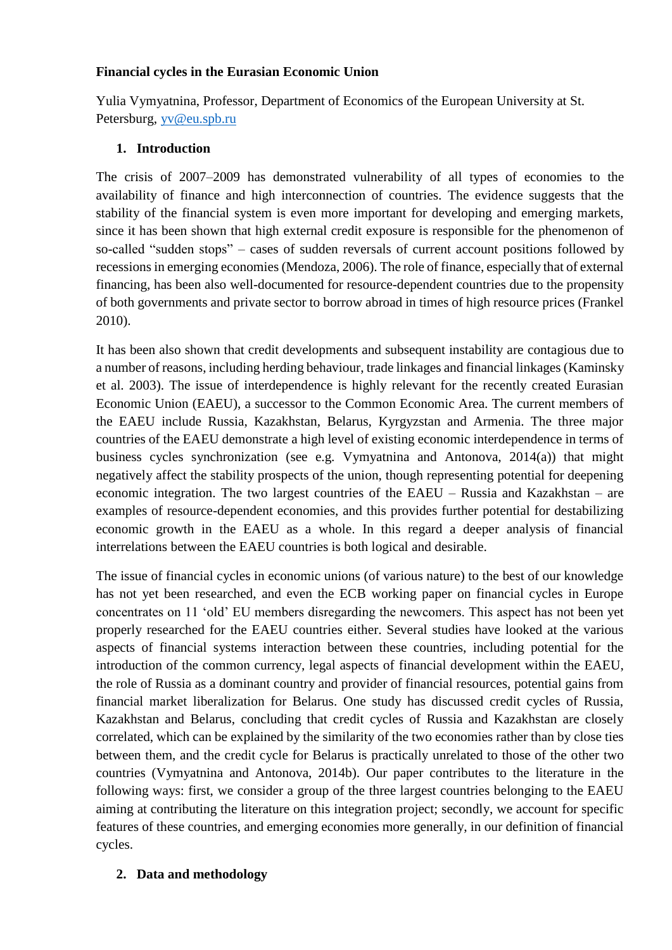## **Financial cycles in the Eurasian Economic Union**

Yulia Vymyatnina, Professor, Department of Economics of the European University at St. Petersburg, [yv@eu.spb.ru](mailto:yv@eu.spb.ru)

## **1. Introduction**

The crisis of 2007–2009 has demonstrated vulnerability of all types of economies to the availability of finance and high interconnection of countries. The evidence suggests that the stability of the financial system is even more important for developing and emerging markets, since it has been shown that high external credit exposure is responsible for the phenomenon of so-called "sudden stops" – cases of sudden reversals of current account positions followed by recessions in emerging economies (Mendoza, 2006). The role of finance, especially that of external financing, has been also well-documented for resource-dependent countries due to the propensity of both governments and private sector to borrow abroad in times of high resource prices (Frankel 2010).

It has been also shown that credit developments and subsequent instability are contagious due to a number of reasons, including herding behaviour, trade linkages and financial linkages (Kaminsky et al. 2003). The issue of interdependence is highly relevant for the recently created Eurasian Economic Union (EAEU), a successor to the Common Economic Area. The current members of the EAEU include Russia, Kazakhstan, Belarus, Kyrgyzstan and Armenia. The three major countries of the EAEU demonstrate a high level of existing economic interdependence in terms of business cycles synchronization (see e.g. Vymyatnina and Antonova, 2014(a)) that might negatively affect the stability prospects of the union, though representing potential for deepening economic integration. The two largest countries of the EAEU – Russia and Kazakhstan – are examples of resource-dependent economies, and this provides further potential for destabilizing economic growth in the EAEU as a whole. In this regard a deeper analysis of financial interrelations between the EAEU countries is both logical and desirable.

The issue of financial cycles in economic unions (of various nature) to the best of our knowledge has not yet been researched, and even the ECB working paper on financial cycles in Europe concentrates on 11 'old' EU members disregarding the newcomers. This aspect has not been yet properly researched for the EAEU countries either. Several studies have looked at the various aspects of financial systems interaction between these countries, including potential for the introduction of the common currency, legal aspects of financial development within the EAEU, the role of Russia as a dominant country and provider of financial resources, potential gains from financial market liberalization for Belarus. One study has discussed credit cycles of Russia, Kazakhstan and Belarus, concluding that credit cycles of Russia and Kazakhstan are closely correlated, which can be explained by the similarity of the two economies rather than by close ties between them, and the credit cycle for Belarus is practically unrelated to those of the other two countries (Vymyatnina and Antonova, 2014b). Our paper contributes to the literature in the following ways: first, we consider a group of the three largest countries belonging to the EAEU aiming at contributing the literature on this integration project; secondly, we account for specific features of these countries, and emerging economies more generally, in our definition of financial cycles.

## **2. Data and methodology**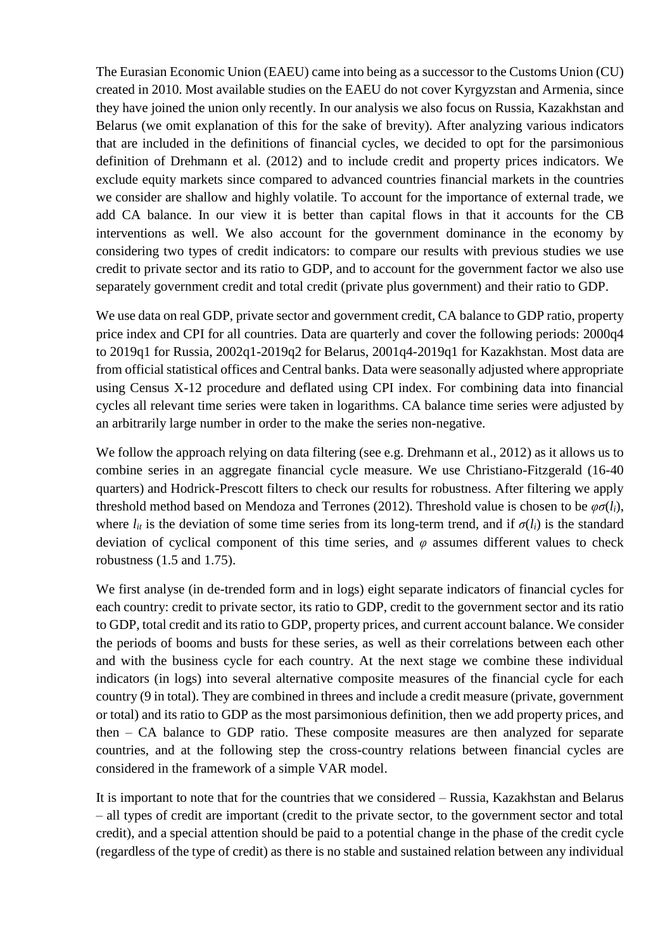The Eurasian Economic Union (EAEU) came into being as a successor to the Customs Union (CU) created in 2010. Most available studies on the EAEU do not cover Kyrgyzstan and Armenia, since they have joined the union only recently. In our analysis we also focus on Russia, Kazakhstan and Belarus (we omit explanation of this for the sake of brevity). After analyzing various indicators that are included in the definitions of financial cycles, we decided to opt for the parsimonious definition of Drehmann et al. (2012) and to include credit and property prices indicators. We exclude equity markets since compared to advanced countries financial markets in the countries we consider are shallow and highly volatile. To account for the importance of external trade, we add CA balance. In our view it is better than capital flows in that it accounts for the CB interventions as well. We also account for the government dominance in the economy by considering two types of credit indicators: to compare our results with previous studies we use credit to private sector and its ratio to GDP, and to account for the government factor we also use separately government credit and total credit (private plus government) and their ratio to GDP.

We use data on real GDP, private sector and government credit, CA balance to GDP ratio, property price index and CPI for all countries. Data are quarterly and cover the following periods: 2000q4 to 2019q1 for Russia, 2002q1-2019q2 for Belarus, 2001q4-2019q1 for Kazakhstan. Most data are from official statistical offices and Central banks. Data were seasonally adjusted where appropriate using Census X-12 procedure and deflated using CPI index. For combining data into financial cycles all relevant time series were taken in logarithms. CA balance time series were adjusted by an arbitrarily large number in order to the make the series non-negative.

We follow the approach relying on data filtering (see e.g. Drehmann et al., 2012) as it allows us to combine series in an aggregate financial cycle measure. We use Christiano-Fitzgerald (16-40 quarters) and Hodrick-Prescott filters to check our results for robustness. After filtering we apply threshold method based on Mendoza and Terrones (2012). Threshold value is chosen to be *φσ*(*li*), where  $l_{it}$  is the deviation of some time series from its long-term trend, and if  $\sigma(l_i)$  is the standard deviation of cyclical component of this time series, and *φ* assumes different values to check robustness (1.5 and 1.75).

We first analyse (in de-trended form and in logs) eight separate indicators of financial cycles for each country: credit to private sector, its ratio to GDP, credit to the government sector and its ratio to GDP, total credit and its ratio to GDP, property prices, and current account balance. We consider the periods of booms and busts for these series, as well as their correlations between each other and with the business cycle for each country. At the next stage we combine these individual indicators (in logs) into several alternative composite measures of the financial cycle for each country (9 in total). They are combined in threes and include a credit measure (private, government or total) and its ratio to GDP as the most parsimonious definition, then we add property prices, and then – CA balance to GDP ratio. These composite measures are then analyzed for separate countries, and at the following step the cross-country relations between financial cycles are considered in the framework of a simple VAR model.

It is important to note that for the countries that we considered – Russia, Kazakhstan and Belarus – all types of credit are important (credit to the private sector, to the government sector and total credit), and a special attention should be paid to a potential change in the phase of the credit cycle (regardless of the type of credit) as there is no stable and sustained relation between any individual